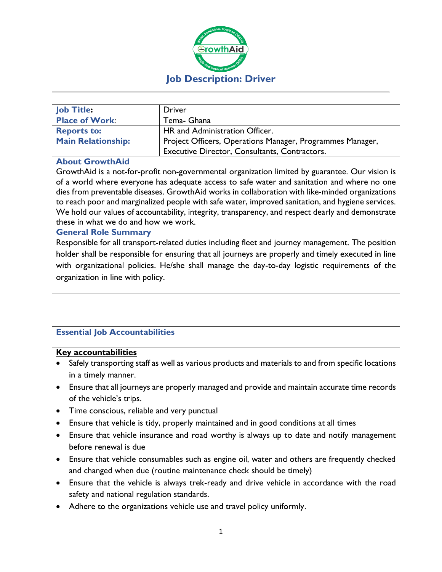

| Job Title:                | Driver                                                    |
|---------------------------|-----------------------------------------------------------|
| <b>Place of Work:</b>     | Tema- Ghana                                               |
| <b>Reports to:</b>        | HR and Administration Officer.                            |
| <b>Main Relationship:</b> | Project Officers, Operations Manager, Programmes Manager, |
|                           | Executive Director, Consultants, Contractors.             |

#### **About GrowthAid**

GrowthAid is a not-for-profit non-governmental organization limited by guarantee. Our vision is of a world where everyone has adequate access to safe water and sanitation and where no one dies from preventable diseases. GrowthAid works in collaboration with like-minded organizations to reach poor and marginalized people with safe water, improved sanitation, and hygiene services. We hold our values of accountability, integrity, transparency, and respect dearly and demonstrate these in what we do and how we work.

#### **General Role Summary**

Responsible for all transport-related duties including fleet and journey management. The position holder shall be responsible for ensuring that all journeys are properly and timely executed in line with organizational policies. He/she shall manage the day-to-day logistic requirements of the organization in line with policy.

# **Essential Job Accountabilities**

#### **Key accountabilities**

- Safely transporting staff as well as various products and materials to and from specific locations in a timely manner.
- Ensure that all journeys are properly managed and provide and maintain accurate time records of the vehicle's trips.
- Time conscious, reliable and very punctual
- Ensure that vehicle is tidy, properly maintained and in good conditions at all times
- Ensure that vehicle insurance and road worthy is always up to date and notify management before renewal is due
- Ensure that vehicle consumables such as engine oil, water and others are frequently checked and changed when due (routine maintenance check should be timely)
- Ensure that the vehicle is always trek-ready and drive vehicle in accordance with the road safety and national regulation standards.
- Adhere to the organizations vehicle use and travel policy uniformly.